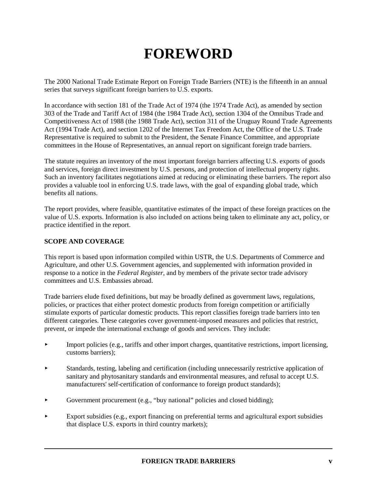# **FOREWORD**

The 2000 National Trade Estimate Report on Foreign Trade Barriers (NTE) is the fifteenth in an annual series that surveys significant foreign barriers to U.S. exports.

In accordance with section 181 of the Trade Act of 1974 (the 1974 Trade Act), as amended by section 303 of the Trade and Tariff Act of 1984 (the 1984 Trade Act), section 1304 of the Omnibus Trade and Competitiveness Act of 1988 (the 1988 Trade Act), section 311 of the Uruguay Round Trade Agreements Act (1994 Trade Act), and section 1202 of the Internet Tax Freedom Act, the Office of the U.S. Trade Representative is required to submit to the President, the Senate Finance Committee, and appropriate committees in the House of Representatives, an annual report on significant foreign trade barriers.

The statute requires an inventory of the most important foreign barriers affecting U.S. exports of goods and services, foreign direct investment by U.S. persons, and protection of intellectual property rights. Such an inventory facilitates negotiations aimed at reducing or eliminating these barriers. The report also provides a valuable tool in enforcing U.S. trade laws, with the goal of expanding global trade, which benefits all nations.

The report provides, where feasible, quantitative estimates of the impact of these foreign practices on the value of U.S. exports. Information is also included on actions being taken to eliminate any act, policy, or practice identified in the report.

## **SCOPE AND COVERAGE**

This report is based upon information compiled within USTR, the U.S. Departments of Commerce and Agriculture, and other U.S. Government agencies, and supplemented with information provided in response to a notice in the *Federal Register,* and by members of the private sector trade advisory committees and U.S. Embassies abroad.

Trade barriers elude fixed definitions, but may be broadly defined as government laws, regulations, policies, or practices that either protect domestic products from foreign competition or artificially stimulate exports of particular domestic products. This report classifies foreign trade barriers into ten different categories. These categories cover government-imposed measures and policies that restrict, prevent, or impede the international exchange of goods and services. They include:

- Import policies (e.g., tariffs and other import charges, quantitative restrictions, import licensing, customs barriers);
- Standards, testing, labeling and certification (including unnecessarily restrictive application of sanitary and phytosanitary standards and environmental measures, and refusal to accept U.S. manufacturers' self-certification of conformance to foreign product standards);
- Government procurement (e.g., "buy national" policies and closed bidding);
- Export subsidies (e.g., export financing on preferential terms and agricultural export subsidies that displace U.S. exports in third country markets);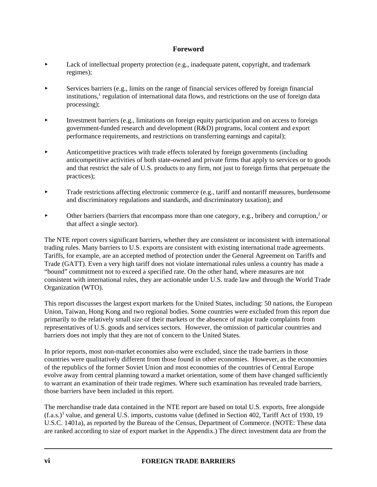- Lack of intellectual property protection (e.g., inadequate patent, copyright, and trademark regimes);
- Services barriers (e.g., limits on the range of financial services offered by foreign financial institutions,<sup>1</sup> regulation of international data flows, and restrictions on the use of foreign data processing);
- Investment barriers (e.g., limitations on foreign equity participation and on access to foreign government-funded research and development (R&D) programs, local content and export performance requirements, and restrictions on transferring earnings and capital);
- Anticompetitive practices with trade effects tolerated by foreign governments (including anticompetitive activities of both state-owned and private firms that apply to services or to goods and that restrict the sale of U.S. products to any firm, not just to foreign firms that perpetuate the practices);
- Trade restrictions affecting electronic commerce (e.g., tariff and nontariff measures, burdensome and discriminatory regulations and standards, and discriminatory taxation); and
- $\blacktriangleright$  Other barriers (barriers that encompass more than one category, e.g., bribery and corruption,<sup>2</sup> or that affect a single sector).

The NTE report covers significant barriers, whether they are consistent or inconsistent with international trading rules. Many barriers to U.S. exports are consistent with existing international trade agreements. Tariffs, for example, are an accepted method of protection under the General Agreement on Tariffs and Trade (GATT). Even a very high tariff does not violate international rules unless a country has made a "bound" commitment not to exceed a specified rate. On the other hand, where measures are not consistent with international rules, they are actionable under U.S. trade law and through the World Trade Organization (WTO).

This report discusses the largest export markets for the United States, including: 50 nations, the European Union, Taiwan, Hong Kong and two regional bodies. Some countries were excluded from this report due primarily to the relatively small size of their markets or the absence of major trade complaints from representatives of U.S. goods and services sectors. However, the omission of particular countries and barriers does not imply that they are not of concern to the United States.

In prior reports, most non-market economies also were excluded, since the trade barriers in those countries were qualitatively different from those found in other economies. However, as the economies of the republics of the former Soviet Union and most economies of the countries of Central Europe evolve away from central planning toward a market orientation, some of them have changed sufficiently to warrant an examination of their trade regimes. Where such examination has revealed trade barriers, those barriers have been included in this report.

The merchandise trade data contained in the NTE report are based on total U.S. exports, free alongside (f.a.s.)<sup>3</sup> value, and general U.S. imports, customs value (defined in Section 402, Tariff Act of 1930, 19 U.S.C. 1401a), as reported by the Bureau of the Census, Department of Commerce. (NOTE: These data are ranked according to size of export market in the Appendix.) The direct investment data are from the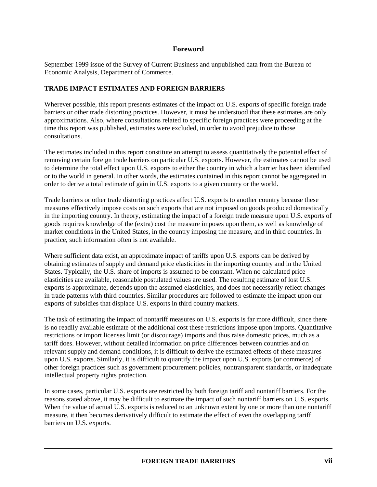September 1999 issue of the Survey of Current Business and unpublished data from the Bureau of Economic Analysis, Department of Commerce.

### **TRADE IMPACT ESTIMATES AND FOREIGN BARRIERS**

Wherever possible, this report presents estimates of the impact on U.S. exports of specific foreign trade barriers or other trade distorting practices. However, it must be understood that these estimates are only approximations. Also, where consultations related to specific foreign practices were proceeding at the time this report was published, estimates were excluded, in order to avoid prejudice to those consultations.

The estimates included in this report constitute an attempt to assess quantitatively the potential effect of removing certain foreign trade barriers on particular U.S. exports. However, the estimates cannot be used to determine the total effect upon U.S. exports to either the country in which a barrier has been identified or to the world in general. In other words, the estimates contained in this report cannot be aggregated in order to derive a total estimate of gain in U.S. exports to a given country or the world.

Trade barriers or other trade distorting practices affect U.S. exports to another country because these measures effectively impose costs on such exports that are not imposed on goods produced domestically in the importing country. In theory, estimating the impact of a foreign trade measure upon U.S. exports of goods requires knowledge of the (extra) cost the measure imposes upon them, as well as knowledge of market conditions in the United States, in the country imposing the measure, and in third countries. In practice, such information often is not available.

Where sufficient data exist, an approximate impact of tariffs upon U.S. exports can be derived by obtaining estimates of supply and demand price elasticities in the importing country and in the United States. Typically, the U.S. share of imports is assumed to be constant. When no calculated price elasticities are available, reasonable postulated values are used. The resulting estimate of lost U.S. exports is approximate, depends upon the assumed elasticities, and does not necessarily reflect changes in trade patterns with third countries. Similar procedures are followed to estimate the impact upon our exports of subsidies that displace U.S. exports in third country markets.

The task of estimating the impact of nontariff measures on U.S. exports is far more difficult, since there is no readily available estimate of the additional cost these restrictions impose upon imports. Quantitative restrictions or import licenses limit (or discourage) imports and thus raise domestic prices, much as a tariff does. However, without detailed information on price differences between countries and on relevant supply and demand conditions, it is difficult to derive the estimated effects of these measures upon U.S. exports. Similarly, it is difficult to quantify the impact upon U.S. exports (or commerce) of other foreign practices such as government procurement policies, nontransparent standards, or inadequate intellectual property rights protection.

In some cases, particular U.S. exports are restricted by both foreign tariff and nontariff barriers. For the reasons stated above, it may be difficult to estimate the impact of such nontariff barriers on U.S. exports. When the value of actual U.S. exports is reduced to an unknown extent by one or more than one nontariff measure, it then becomes derivatively difficult to estimate the effect of even the overlapping tariff barriers on U.S. exports.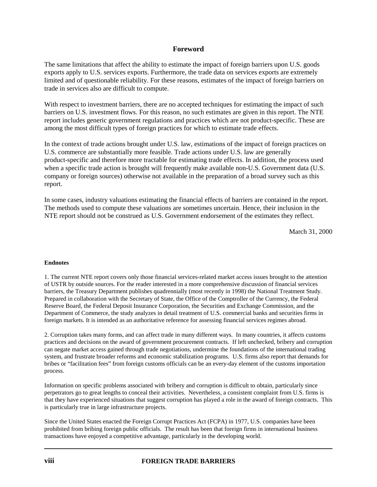The same limitations that affect the ability to estimate the impact of foreign barriers upon U.S. goods exports apply to U.S. services exports. Furthermore, the trade data on services exports are extremely limited and of questionable reliability. For these reasons, estimates of the impact of foreign barriers on trade in services also are difficult to compute.

With respect to investment barriers, there are no accepted techniques for estimating the impact of such barriers on U.S. investment flows. For this reason, no such estimates are given in this report. The NTE report includes generic government regulations and practices which are not product-specific. These are among the most difficult types of foreign practices for which to estimate trade effects.

In the context of trade actions brought under U.S. law, estimations of the impact of foreign practices on U.S. commerce are substantially more feasible. Trade actions under U.S. law are generally product-specific and therefore more tractable for estimating trade effects. In addition, the process used when a specific trade action is brought will frequently make available non-U.S. Government data (U.S. company or foreign sources) otherwise not available in the preparation of a broad survey such as this report.

In some cases, industry valuations estimating the financial effects of barriers are contained in the report. The methods used to compute these valuations are sometimes uncertain. Hence, their inclusion in the NTE report should not be construed as U.S. Government endorsement of the estimates they reflect.

March 31, 2000

#### **Endnotes**

1. The current NTE report covers only those financial services-related market access issues brought to the attention of USTR by outside sources. For the reader interested in a more comprehensive discussion of financial services barriers, the Treasury Department publishes quadrennially (most recently in 1998) the National Treatment Study. Prepared in collaboration with the Secretary of State, the Office of the Comptroller of the Currency, the Federal Reserve Board, the Federal Deposit Insurance Corporation, the Securities and Exchange Commission, and the Department of Commerce, the study analyzes in detail treatment of U.S. commercial banks and securities firms in foreign markets. It is intended as an authoritative reference for assessing financial services regimes abroad.

2. Corruption takes many forms, and can affect trade in many different ways. In many countries, it affects customs practices and decisions on the award of government procurement contracts. If left unchecked, bribery and corruption can negate market access gained through trade negotiations, undermine the foundations of the international trading system, and frustrate broader reforms and economic stabilization programs. U.S. firms also report that demands for bribes or "facilitation fees" from foreign customs officials can be an every-day element of the customs importation process.

Information on specific problems associated with bribery and corruption is difficult to obtain, particularly since perpetrators go to great lengths to conceal their activities. Nevertheless, a consistent complaint from U.S. firms is that they have experienced situations that suggest corruption has played a role in the award of foreign contracts. This is particularly true in large infrastructure projects.

Since the United States enacted the Foreign Corrupt Practices Act (FCPA) in 1977, U.S. companies have been prohibited from bribing foreign public officials. The result has been that foreign firms in international business transactions have enjoyed a competitive advantage, particularly in the developing world.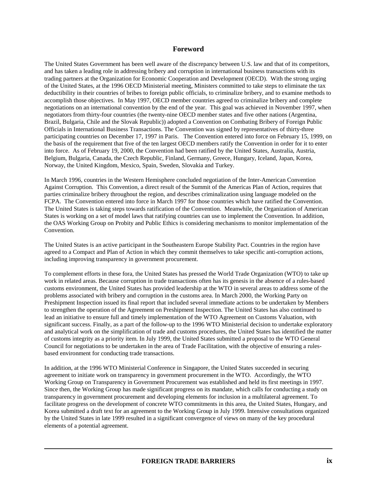The United States Government has been well aware of the discrepancy between U.S. law and that of its competitors, and has taken a leading role in addressing bribery and corruption in international business transactions with its trading partners at the Organization for Economic Cooperation and Development (OECD). With the strong urging of the United States, at the 1996 OECD Ministerial meeting, Ministers committed to take steps to eliminate the tax deductibility in their countries of bribes to foreign public officials, to criminalize bribery, and to examine methods to accomplish those objectives. In May 1997, OECD member countries agreed to criminalize bribery and complete negotiations on an international convention by the end of the year. This goal was achieved in November 1997, when negotiators from thirty-four countries (the twenty-nine OECD member states and five other nations (Argentina, Brazil, Bulgaria, Chile and the Slovak Republic)) adopted a Convention on Combating Bribery of Foreign Public Officials in International Business Transactions. The Convention was signed by representatives of thirty-three participating countries on December 17, 1997 in Paris. The Convention entered into force on February 15, 1999, on the basis of the requirement that five of the ten largest OECD members ratify the Convention in order for it to enter into force. As of February 19, 2000, the Convention had been ratified by the United States, Australia, Austria, Belgium, Bulgaria, Canada, the Czech Republic, Finland, Germany, Greece, Hungary, Iceland, Japan, Korea, Norway, the United Kingdom, Mexico, Spain, Sweden, Slovakia and Turkey.

In March 1996, countries in the Western Hemisphere concluded negotiation of the Inter-American Convention Against Corruption. This Convention, a direct result of the Summit of the Americas Plan of Action, requires that parties criminalize bribery throughout the region, and describes criminalization using language modeled on the FCPA. The Convention entered into force in March 1997 for those countries which have ratified the Convention. The United States is taking steps towards ratification of the Convention. Meanwhile, the Organization of American States is working on a set of model laws that ratifying countries can use to implement the Convention. In addition, the OAS Working Group on Probity and Public Ethics is considering mechanisms to monitor implementation of the Convention.

The United States is an active participant in the Southeastern Europe Stability Pact. Countries in the region have agreed to a Compact and Plan of Action in which they commit themselves to take specific anti-corruption actions, including improving transparency in government procurement.

To complement efforts in these fora, the United States has pressed the World Trade Organization (WTO) to take up work in related areas. Because corruption in trade transactions often has its genesis in the absence of a rules-based customs environment, the United States has provided leadership at the WTO in several areas to address some of the problems associated with bribery and corruption in the customs area. In March 2000, the Working Party on Preshipment Inspection issued its final report that included several immediate actions to be undertaken by Members to strengthen the operation of the Agreement on Preshipment Inspection. The United States has also continued to lead an initiative to ensure full and timely implementation of the WTO Agreement on Customs Valuation, with significant success. Finally, as a part of the follow-up to the 1996 WTO Ministerial decision to undertake exploratory and analytical work on the simplification of trade and customs procedures, the United States has identified the matter of customs integrity as a priority item. In July 1999, the United States submitted a proposal to the WTO General Council for negotiations to be undertaken in the area of Trade Facilitation, with the objective of ensuring a rulesbased environment for conducting trade transactions.

In addition, at the 1996 WTO Ministerial Conference in Singapore, the United States succeeded in securing agreement to initiate work on transparency in government procurement in the WTO. Accordingly, the WTO Working Group on Transparency in Government Procurement was established and held its first meetings in 1997. Since then, the Working Group has made significant progress on its mandate, which calls for conducting a study on transparency in government procurement and developing elements for inclusion in a multilateral agreement. To facilitate progress on the development of concrete WTO commitments in this area, the United States, Hungary, and Korea submitted a draft text for an agreement to the Working Group in July 1999. Intensive consultations organized by the United States in late 1999 resulted in a significant convergence of views on many of the key procedural elements of a potential agreement.